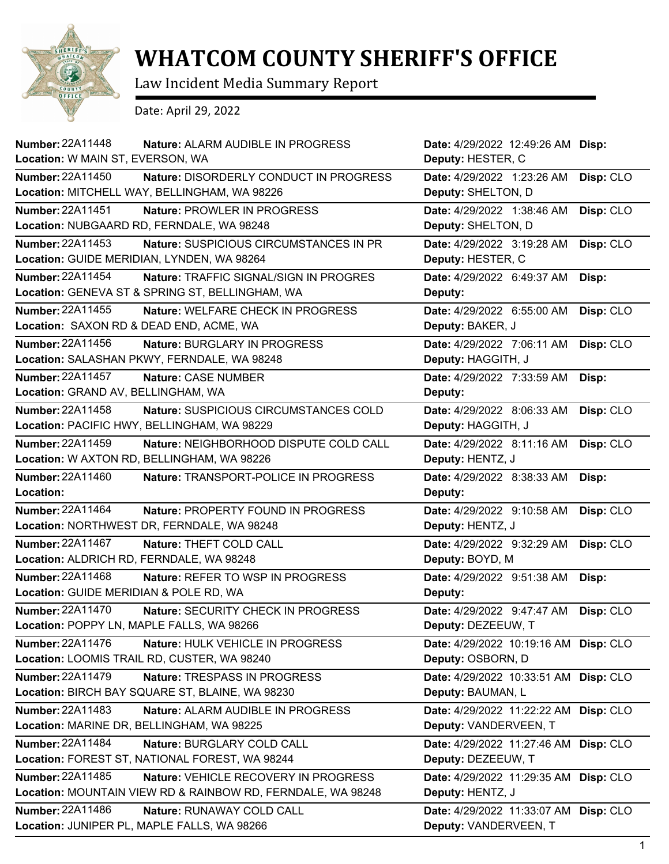

## **WHATCOM COUNTY SHERIFF'S OFFICE**

Law Incident Media Summary Report

Date: April 29, 2022

| <b>Number: 22A11448</b><br>Nature: ALARM AUDIBLE IN PROGRESS<br>Location: W MAIN ST, EVERSON, WA                            | Date: 4/29/2022 12:49:26 AM Disp:<br>Deputy: HESTER, C     |           |
|-----------------------------------------------------------------------------------------------------------------------------|------------------------------------------------------------|-----------|
|                                                                                                                             |                                                            |           |
| <b>Number: 22A11450</b><br>Nature: DISORDERLY CONDUCT IN PROGRESS<br>Location: MITCHELL WAY, BELLINGHAM, WA 98226           | Date: 4/29/2022 1:23:26 AM<br>Deputy: SHELTON, D           | Disp: CLO |
| Number: 22A11451<br>Nature: PROWLER IN PROGRESS<br>Location: NUBGAARD RD, FERNDALE, WA 98248                                | Date: 4/29/2022 1:38:46 AM<br>Deputy: SHELTON, D           | Disp: CLO |
| <b>Number: 22A11453</b><br>Nature: SUSPICIOUS CIRCUMSTANCES IN PR                                                           | Date: 4/29/2022 3:19:28 AM                                 | Disp: CLO |
| Location: GUIDE MERIDIAN, LYNDEN, WA 98264                                                                                  | Deputy: HESTER, C                                          |           |
| <b>Number: 22A11454</b><br><b>Nature: TRAFFIC SIGNAL/SIGN IN PROGRES</b><br>Location: GENEVA ST & SPRING ST, BELLINGHAM, WA | Date: 4/29/2022 6:49:37 AM<br>Deputy:                      | Disp:     |
| Number: 22A11455<br>Nature: WELFARE CHECK IN PROGRESS<br>Location: SAXON RD & DEAD END, ACME, WA                            | Date: 4/29/2022 6:55:00 AM<br>Deputy: BAKER, J             | Disp: CLO |
| <b>Number: 22A11456</b><br>Nature: BURGLARY IN PROGRESS<br>Location: SALASHAN PKWY, FERNDALE, WA 98248                      | Date: 4/29/2022 7:06:11 AM<br>Deputy: HAGGITH, J           | Disp: CLO |
| <b>Number: 22A11457</b><br>Nature: CASE NUMBER<br>Location: GRAND AV, BELLINGHAM, WA                                        | Date: 4/29/2022 7:33:59 AM<br>Deputy:                      | Disp:     |
| <b>Number: 22A11458</b><br>Nature: SUSPICIOUS CIRCUMSTANCES COLD<br>Location: PACIFIC HWY, BELLINGHAM, WA 98229             | Date: 4/29/2022 8:06:33 AM<br>Deputy: HAGGITH, J           | Disp: CLO |
| <b>Number: 22A11459</b><br>Nature: NEIGHBORHOOD DISPUTE COLD CALL<br>Location: W AXTON RD, BELLINGHAM, WA 98226             | Date: 4/29/2022 8:11:16 AM<br>Deputy: HENTZ, J             | Disp: CLO |
| Number: 22A11460<br>Nature: TRANSPORT-POLICE IN PROGRESS<br>Location:                                                       | Date: 4/29/2022 8:38:33 AM<br>Deputy:                      | Disp:     |
| <b>Number: 22A11464</b><br>Nature: PROPERTY FOUND IN PROGRESS<br>Location: NORTHWEST DR, FERNDALE, WA 98248                 | Date: 4/29/2022 9:10:58 AM<br>Deputy: HENTZ, J             | Disp: CLO |
| <b>Number: 22A11467</b><br>Nature: THEFT COLD CALL<br>Location: ALDRICH RD, FERNDALE, WA 98248                              | Date: 4/29/2022 9:32:29 AM<br>Deputy: BOYD, M              | Disp: CLO |
| Number: 22A11468<br>Nature: REFER TO WSP IN PROGRESS<br>Location: GUIDE MERIDIAN & POLE RD, WA                              | Date: 4/29/2022 9:51:38 AM<br>Deputy:                      | Disp:     |
| <b>Number: 22A11470</b><br>Nature: SECURITY CHECK IN PROGRESS<br>Location: POPPY LN, MAPLE FALLS, WA 98266                  | Date: 4/29/2022 9:47:47 AM<br>Deputy: DEZEEUW, T           | Disp: CLO |
| Number: 22A11476<br>Nature: HULK VEHICLE IN PROGRESS<br>Location: LOOMIS TRAIL RD, CUSTER, WA 98240                         | Date: 4/29/2022 10:19:16 AM Disp: CLO<br>Deputy: OSBORN, D |           |
| <b>Number: 22A11479</b><br>Nature: TRESPASS IN PROGRESS<br>Location: BIRCH BAY SQUARE ST, BLAINE, WA 98230                  | Date: 4/29/2022 10:33:51 AM<br>Deputy: BAUMAN, L           | Disp: CLO |
| Number: 22A11483<br>Nature: ALARM AUDIBLE IN PROGRESS<br>Location: MARINE DR, BELLINGHAM, WA 98225                          | Date: 4/29/2022 11:22:22 AM<br>Deputy: VANDERVEEN, T       | Disp: CLO |
| <b>Number: 22A11484</b><br>Nature: BURGLARY COLD CALL<br>Location: FOREST ST, NATIONAL FOREST, WA 98244                     | Date: 4/29/2022 11:27:46 AM<br>Deputy: DEZEEUW, T          | Disp: CLO |
| Number: 22A11485<br>Nature: VEHICLE RECOVERY IN PROGRESS<br>Location: MOUNTAIN VIEW RD & RAINBOW RD, FERNDALE, WA 98248     | Date: 4/29/2022 11:29:35 AM<br>Deputy: HENTZ, J            | Disp: CLO |
| <b>Number: 22A11486</b><br>Nature: RUNAWAY COLD CALL<br>Location: JUNIPER PL, MAPLE FALLS, WA 98266                         | Date: 4/29/2022 11:33:07 AM<br>Deputy: VANDERVEEN, T       | Disp: CLO |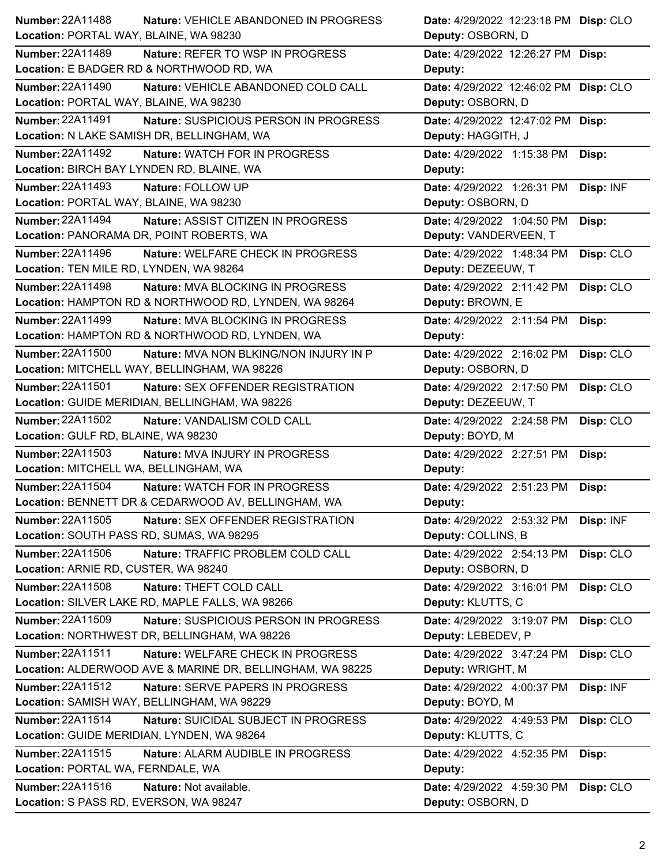| Number: 22A11488                           | <b>Nature: VEHICLE ABANDONED IN PROGRESS</b>              | Date: 4/29/2022 12:23:18 PM Disp: CLO |           |
|--------------------------------------------|-----------------------------------------------------------|---------------------------------------|-----------|
| Location: PORTAL WAY, BLAINE, WA 98230     |                                                           | Deputy: OSBORN, D                     |           |
| <b>Number: 22A11489</b>                    | Nature: REFER TO WSP IN PROGRESS                          | Date: 4/29/2022 12:26:27 PM Disp:     |           |
|                                            | Location: E BADGER RD & NORTHWOOD RD, WA                  | Deputy:                               |           |
| <b>Number: 22A11490</b>                    | Nature: VEHICLE ABANDONED COLD CALL                       | Date: 4/29/2022 12:46:02 PM Disp: CLO |           |
| Location: PORTAL WAY, BLAINE, WA 98230     |                                                           | Deputy: OSBORN, D                     |           |
| <b>Number: 22A11491</b>                    | Nature: SUSPICIOUS PERSON IN PROGRESS                     | Date: 4/29/2022 12:47:02 PM Disp:     |           |
| Location: N LAKE SAMISH DR, BELLINGHAM, WA |                                                           | Deputy: HAGGITH, J                    |           |
| <b>Number: 22A11492</b>                    | Nature: WATCH FOR IN PROGRESS                             | Date: 4/29/2022 1:15:38 PM            | Disp:     |
| Location: BIRCH BAY LYNDEN RD, BLAINE, WA  |                                                           | Deputy:                               |           |
| Number: 22A11493                           | Nature: FOLLOW UP                                         | Date: 4/29/2022 1:26:31 PM            | Disp: INF |
| Location: PORTAL WAY, BLAINE, WA 98230     |                                                           | Deputy: OSBORN, D                     |           |
| Number: 22A11494                           | Nature: ASSIST CITIZEN IN PROGRESS                        | Date: 4/29/2022 1:04:50 PM            | Disp:     |
| Location: PANORAMA DR, POINT ROBERTS, WA   |                                                           | Deputy: VANDERVEEN, T                 |           |
| Number: 22A11496                           | Nature: WELFARE CHECK IN PROGRESS                         | Date: 4/29/2022 1:48:34 PM            | Disp: CLO |
| Location: TEN MILE RD, LYNDEN, WA 98264    |                                                           | Deputy: DEZEEUW, T                    |           |
| <b>Number: 22A11498</b>                    | <b>Nature: MVA BLOCKING IN PROGRESS</b>                   | Date: 4/29/2022 2:11:42 PM            | Disp: CLO |
|                                            | Location: HAMPTON RD & NORTHWOOD RD, LYNDEN, WA 98264     | Deputy: BROWN, E                      |           |
| <b>Number: 22A11499</b>                    | Nature: MVA BLOCKING IN PROGRESS                          | Date: 4/29/2022 2:11:54 PM            | Disp:     |
|                                            | Location: HAMPTON RD & NORTHWOOD RD, LYNDEN, WA           | Deputy:                               |           |
| <b>Number: 22A11500</b>                    | <b>Nature: MVA NON BLKING/NON INJURY IN P</b>             | Date: 4/29/2022 2:16:02 PM            | Disp: CLO |
|                                            | Location: MITCHELL WAY, BELLINGHAM, WA 98226              | Deputy: OSBORN, D                     |           |
| <b>Number: 22A11501</b>                    | <b>Nature: SEX OFFENDER REGISTRATION</b>                  | Date: 4/29/2022 2:17:50 PM            | Disp: CLO |
|                                            | Location: GUIDE MERIDIAN, BELLINGHAM, WA 98226            | Deputy: DEZEEUW, T                    |           |
|                                            |                                                           |                                       |           |
| Number: 22A11502                           | Nature: VANDALISM COLD CALL                               | Date: 4/29/2022 2:24:58 PM            | Disp: CLO |
| Location: GULF RD, BLAINE, WA 98230        |                                                           | Deputy: BOYD, M                       |           |
| Number: 22A11503                           | Nature: MVA INJURY IN PROGRESS                            | Date: 4/29/2022 2:27:51 PM            | Disp:     |
| Location: MITCHELL WA, BELLINGHAM, WA      |                                                           | Deputy:                               |           |
| Number: 22A11504                           | Nature: WATCH FOR IN PROGRESS                             | Date: 4/29/2022 2:51:23 PM            | Disp:     |
|                                            | Location: BENNETT DR & CEDARWOOD AV, BELLINGHAM, WA       | Deputy:                               |           |
| <b>Number: 22A11505</b>                    | Nature: SEX OFFENDER REGISTRATION                         | Date: 4/29/2022 2:53:32 PM            | Disp: INF |
| Location: SOUTH PASS RD, SUMAS, WA 98295   |                                                           | Deputy: COLLINS, B                    |           |
| Number: 22A11506                           | Nature: TRAFFIC PROBLEM COLD CALL                         | Date: 4/29/2022 2:54:13 PM            | Disp: CLO |
| Location: ARNIE RD, CUSTER, WA 98240       |                                                           | Deputy: OSBORN, D                     |           |
| Number: 22A11508                           | Nature: THEFT COLD CALL                                   | Date: 4/29/2022 3:16:01 PM            | Disp: CLO |
|                                            | Location: SILVER LAKE RD, MAPLE FALLS, WA 98266           | Deputy: KLUTTS, C                     |           |
| <b>Number: 22A11509</b>                    | Nature: SUSPICIOUS PERSON IN PROGRESS                     | Date: 4/29/2022 3:19:07 PM            | Disp: CLO |
|                                            | Location: NORTHWEST DR, BELLINGHAM, WA 98226              | Deputy: LEBEDEV, P                    |           |
| Number: 22A11511                           | Nature: WELFARE CHECK IN PROGRESS                         | Date: 4/29/2022 3:47:24 PM            | Disp: CLO |
|                                            | Location: ALDERWOOD AVE & MARINE DR, BELLINGHAM, WA 98225 | Deputy: WRIGHT, M                     |           |
| Number: 22A11512                           | Nature: SERVE PAPERS IN PROGRESS                          | Date: 4/29/2022 4:00:37 PM            | Disp: INF |
|                                            | Location: SAMISH WAY, BELLINGHAM, WA 98229                | Deputy: BOYD, M                       |           |
| <b>Number: 22A11514</b>                    | Nature: SUICIDAL SUBJECT IN PROGRESS                      | Date: 4/29/2022 4:49:53 PM            | Disp: CLO |
| Location: GUIDE MERIDIAN, LYNDEN, WA 98264 |                                                           | Deputy: KLUTTS, C                     |           |
| Number: 22A11515                           | <b>Nature: ALARM AUDIBLE IN PROGRESS</b>                  | Date: 4/29/2022 4:52:35 PM            | Disp:     |
| Location: PORTAL WA, FERNDALE, WA          |                                                           | Deputy:                               |           |
| Number: 22A11516                           | Nature: Not available.                                    | Date: 4/29/2022 4:59:30 PM            | Disp: CLO |